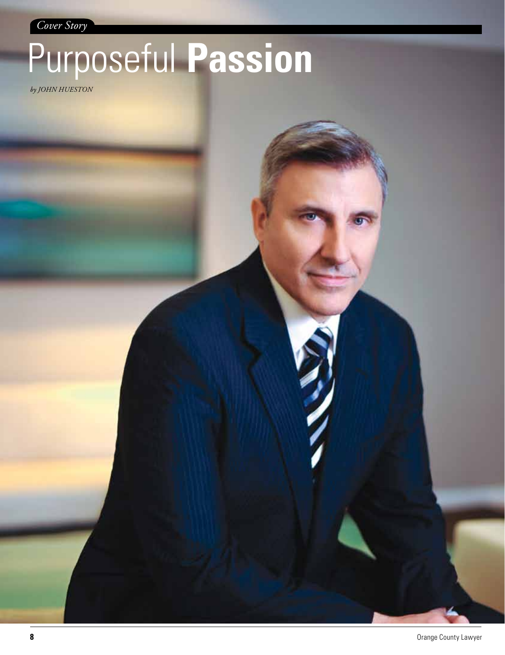*Cover Story*

## Purposeful **Passion**

*by John Hueston*